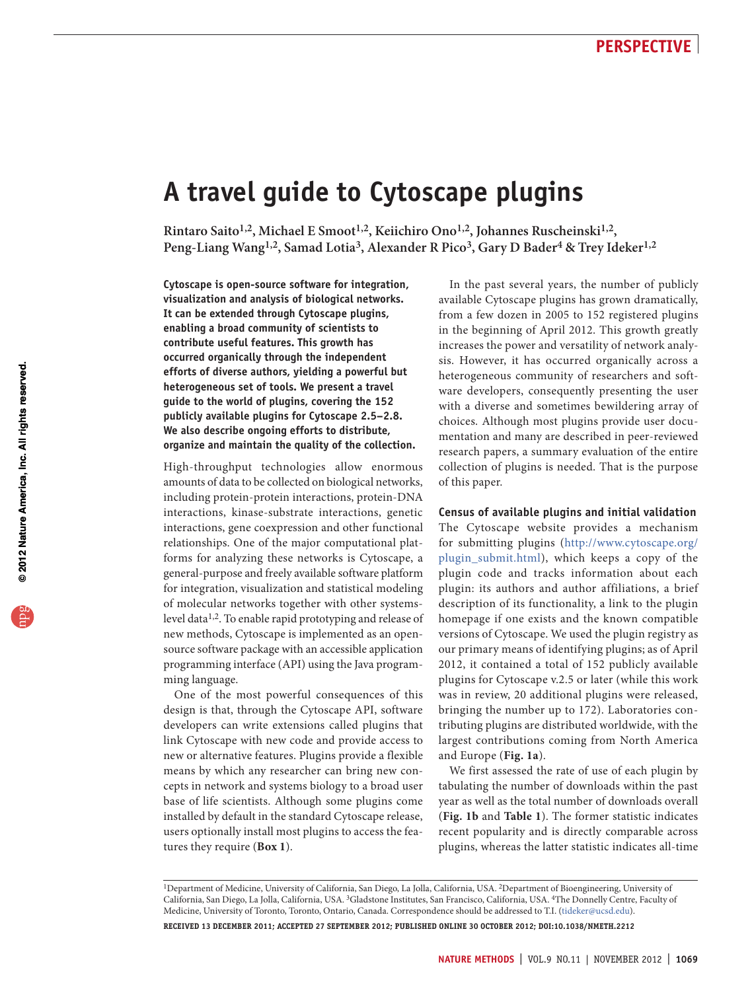# **A travel guide to Cytoscape plugins**

Rintaro Saito<sup>1,2</sup>, Michael E Smoot<sup>1,2</sup>, Keiichiro Ono<sup>1,2</sup>, Johannes Ruscheinski<sup>1,2</sup>, **Peng-Liang Wang1,2, Samad Lotia3, Alexander R Pico3, Gary D Bader4 & Trey Ideker1,2**

**Cytoscape is open-source software for integration, visualization and analysis of biological networks. It can be extended through Cytoscape plugins, enabling a broad community of scientists to contribute useful features. This growth has occurred organically through the independent efforts of diverse authors, yielding a powerful but heterogeneous set of tools. We present a travel guide to the world of plugins, covering the 152 publicly available plugins for Cytoscape 2.5–2.8. We also describe ongoing efforts to distribute, organize and maintain the quality of the collection.**

High-throughput technologies allow enormous amounts of data to be collected on biological networks, including protein-protein interactions, protein-DNA interactions, kinase-substrate interactions, genetic interactions, gene coexpression and other functional relationships. One of the major computational platforms for analyzing these networks is Cytoscape, a general-purpose and freely available software platform for integration, visualization and statistical modeling of molecular networks together with other systemslevel data[1,](#page-6-0)[2.](#page-6-1) To enable rapid prototyping and release of new methods, Cytoscape is implemented as an opensource software package with an accessible application programming interface (API) using the Java programming language.

One of the most powerful consequences of this design is that, through the Cytoscape API, software developers can write extensions called plugins that link Cytoscape with new code and provide access to new or alternative features. Plugins provide a flexible means by which any researcher can bring new concepts in network and systems biology to a broad user base of life scientists. Although some plugins come installed by default in the standard Cytoscape release, users optionally install most plugins to access the features they require (**[Box 1](#page-1-0)**).

In the past several years, the number of publicly available Cytoscape plugins has grown dramatically, from a few dozen in 2005 to 152 registered plugins in the beginning of April 2012. This growth greatly increases the power and versatility of network analysis. However, it has occurred organically across a heterogeneous community of researchers and software developers, consequently presenting the user with a diverse and sometimes bewildering array of choices. Although most plugins provide user documentation and many are described in peer-reviewed research papers, a summary evaluation of the entire collection of plugins is needed. That is the purpose of this paper.

**Census of available plugins and initial validation** The Cytoscape website provides a mechanism for submitting plugins ([http://www.cytoscape.org/](http://www.cytoscape.org/plugin_submit.html) [plugin\\_submit.html](http://www.cytoscape.org/plugin_submit.html)), which keeps a copy of the plugin code and tracks information about each plugin: its authors and author affiliations, a brief description of its functionality, a link to the plugin homepage if one exists and the known compatible versions of Cytoscape. We used the plugin registry as our primary means of identifying plugins; as of April 2012, it contained a total of 152 publicly available plugins for Cytoscape v.2.5 or later (while this work was in review, 20 additional plugins were released, bringing the number up to 172). Laboratories contributing plugins are distributed worldwide, with the largest contributions coming from North America and Europe (**[Fig. 1a](#page-1-1)**).

We first assessed the rate of use of each plugin by tabulating the number of downloads within the past year as well as the total number of downloads overall (**[Fig. 1b](#page-1-1)** and **[Table 1](#page-2-0)**). The former statistic indicates recent popularity and is directly comparable across plugins, whereas the latter statistic indicates all-time

<sup>1</sup>Department of Medicine, University of California, San Diego, La Jolla, California, USA. 2Department of Bioengineering, University of California, San Diego, La Jolla, California, USA. 3Gladstone Institutes, San Francisco, California, USA. 4The Donnelly Centre, Faculty of Medicine, University of Toronto, Toronto, Ontario, Canada. Correspondence should be addressed to T.I. (tideker@ucsd.edu).

**Received 13 December 2011; accepted 27 September 2012; published online 30 october 2012; [DOI:10.1038/NMETH.2212](http://www.nature.com/doifinder/10.1038/NMETH.2212)**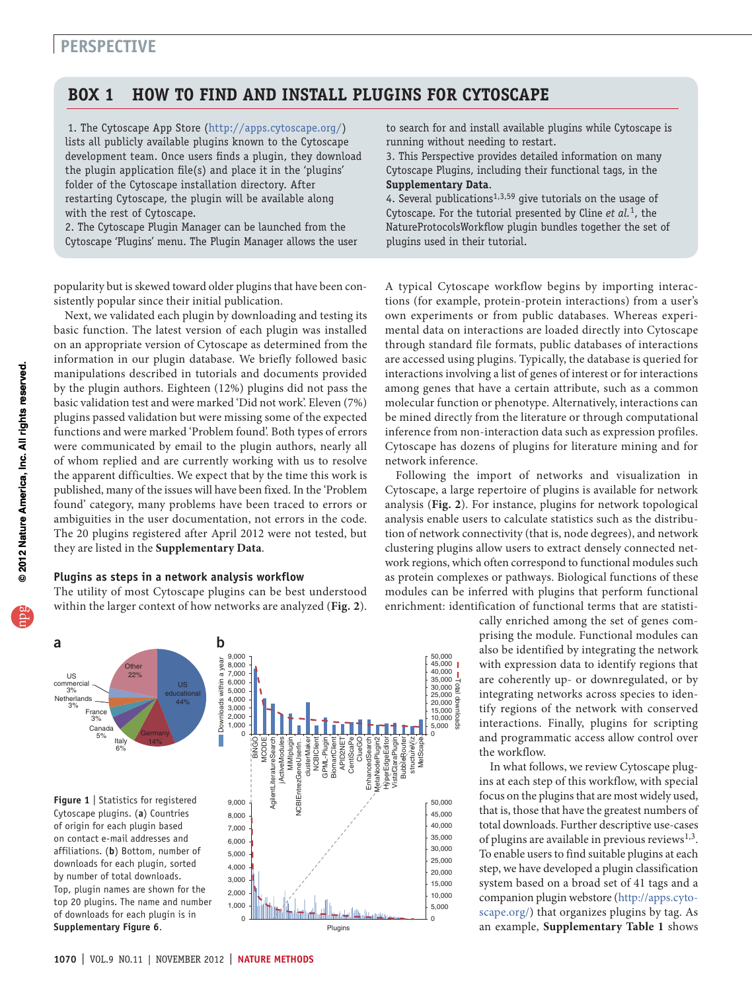### **Box 1 HOW TO FIND AND INSTALL PLUGINS FOR CYTOSCAPE**

<span id="page-1-0"></span>1. The Cytoscape App Store (<http://apps.cytoscape.org/>) lists all publicly available plugins known to the Cytoscape development team. Once users finds a plugin, they download the plugin application file(s) and place it in the 'plugins' folder of the Cytoscape installation directory. After restarting Cytoscape, the plugin will be available along with the rest of Cytoscape.

2. The Cytoscape Plugin Manager can be launched from the Cytoscape 'Plugins' menu. The Plugin Manager allows the user

popularity but is skewed toward older plugins that have been consistently popular since their initial publication.

Next, we validated each plugin by downloading and testing its basic function. The latest version of each plugin was installed on an appropriate version of Cytoscape as determined from the information in our plugin database. We briefly followed basic manipulations described in tutorials and documents provided by the plugin authors. Eighteen (12%) plugins did not pass the basic validation test and were marked 'Did not work'. Eleven (7%) plugins passed validation but were missing some of the expected functions and were marked 'Problem found'. Both types of errors were communicated by email to the plugin authors, nearly all of whom replied and are currently working with us to resolve the apparent difficulties. We expect that by the time this work is published, many of the issues will have been fixed. In the 'Problem found' category, many problems have been traced to errors or ambiguities in the user documentation, not errors in the code. The 20 plugins registered after April 2012 were not tested, but they are listed in the **Supplementary Data**.

### **Plugins as steps in a network analysis workflow**

The utility of most Cytoscape plugins can be best understood within the larger context of how networks are analyzed (**[Fig.](#page-2-1) 2**).



<span id="page-1-1"></span>**Figure 1** | Statistics for registered Cytoscape plugins. (**a**) Countries of origin for each plugin based on contact e-mail addresses and affiliations. (**b**) Bottom, number of downloads for each plugin, sorted by number of total downloads. Top, plugin names are shown for the top 20 plugins. The name and number of downloads for each plugin is in **Supplementary Figure 6**.



to search for and install available plugins while Cytoscape is running without needing to restart.

3. This Perspective provides detailed information on many Cytoscape Plugins, including their functional tags, in the **Supplementary Data**.

4. Several publications<sup>[1,](#page-6-0)[3,](#page-6-2)[59](#page-7-0)</sup> give tutorials on the usage of Cytoscape. For the tutorial presented by Cline *et al.*[1](#page-6-0), the NatureProtocolsWorkflow plugin bundles together the set of plugins used in their tutorial.

A typical Cytoscape workflow begins by importing interactions (for example, protein-protein interactions) from a user's own experiments or from public databases. Whereas experimental data on interactions are loaded directly into Cytoscape through standard file formats, public databases of interactions are accessed using plugins. Typically, the database is queried for interactions involving a list of genes of interest or for interactions among genes that have a certain attribute, such as a common molecular function or phenotype. Alternatively, interactions can be mined directly from the literature or through computational inference from non-interaction data such as expression profiles. Cytoscape has dozens of plugins for literature mining and for network inference.

Following the import of networks and visualization in Cytoscape, a large repertoire of plugins is available for network analysis (**[Fig. 2](#page-2-1)**). For instance, plugins for network topological analysis enable users to calculate statistics such as the distribution of network connectivity (that is, node degrees), and network clustering plugins allow users to extract densely connected network regions, which often correspond to functional modules such as protein complexes or pathways. Biological functions of these modules can be inferred with plugins that perform functional enrichment: identification of functional terms that are statisti-

> cally enriched among the set of genes comprising the module. Functional modules can also be identified by integrating the network with expression data to identify regions that are coherently up- or downregulated, or by integrating networks across species to identify regions of the network with conserved interactions. Finally, plugins for scripting and programmatic access allow control over the workflow.

> In what follows, we review Cytoscape plugins at each step of this workflow, with special focus on the plugins that are most widely used, that is, those that have the greatest numbers of total downloads. Further descriptive use-cases of plugins are available in previous reviews $^{1,3}$  $^{1,3}$  $^{1,3}$  $^{1,3}$ . To enable users to find suitable plugins at each step, we have developed a plugin classification system based on a broad set of 41 tags and a companion plugin webstore [\(http://apps.cyto](http://apps.cytoscape.org/)[scape.org/](http://apps.cytoscape.org/)) that organizes plugins by tag. As an example, **Supplementary Table 1** shows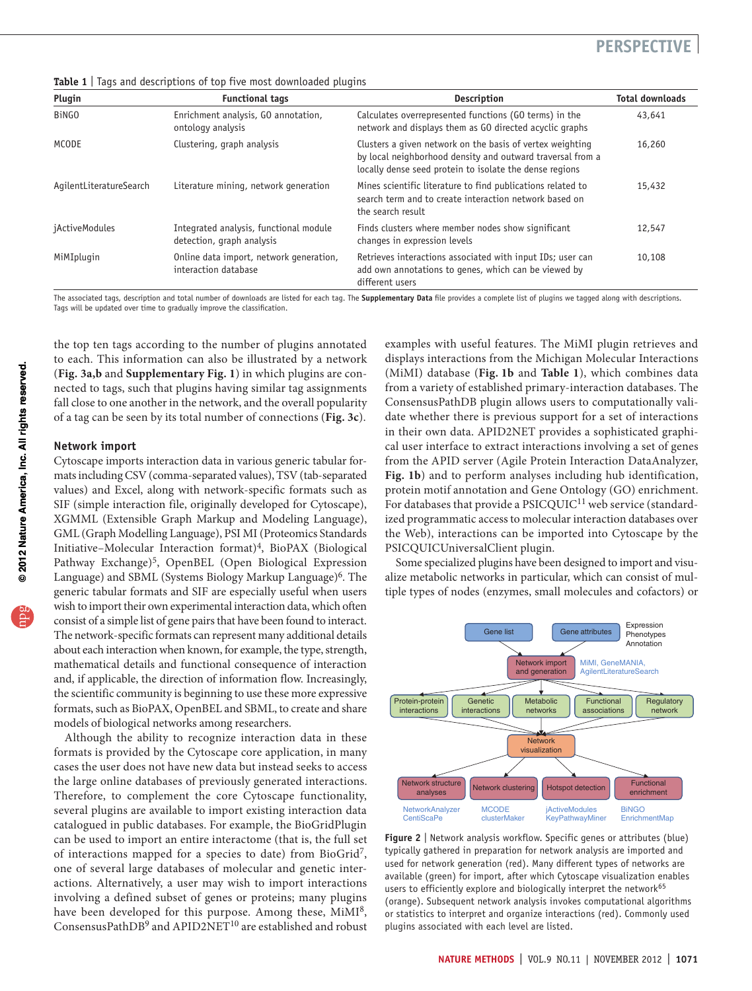| Plugin                  | <b>Functional tags</b>                                              | <b>Description</b>                                                                                                                                                                 | <b>Total downloads</b> |
|-------------------------|---------------------------------------------------------------------|------------------------------------------------------------------------------------------------------------------------------------------------------------------------------------|------------------------|
| BiNGO                   | Enrichment analysis, GO annotation,<br>ontology analysis            | Calculates overrepresented functions (GO terms) in the<br>network and displays them as GO directed acyclic graphs                                                                  | 43,641                 |
| MCODE                   | Clustering, graph analysis                                          | Clusters a given network on the basis of vertex weighting<br>by local neighborhood density and outward traversal from a<br>locally dense seed protein to isolate the dense regions | 16,260                 |
| AgilentLiteratureSearch | Literature mining, network generation                               | Mines scientific literature to find publications related to<br>search term and to create interaction network based on<br>the search result                                         | 15,432                 |
| <i>iActiveModules</i>   | Integrated analysis, functional module<br>detection, graph analysis | Finds clusters where member nodes show significant<br>changes in expression levels                                                                                                 | 12,547                 |
| MiMIplugin              | Online data import, network generation,<br>interaction database     | Retrieves interactions associated with input IDs; user can<br>add own annotations to genes, which can be viewed by<br>different users                                              | 10,108                 |

<span id="page-2-0"></span>Table 1 | Tags and descriptions of top five most downloaded plugins

The associated tags, description and total number of downloads are listed for each tag. The **Supplementary Data** file provides a complete list of plugins we tagged along with descriptions. Tags will be updated over time to gradually improve the classification.

the top ten tags according to the number of plugins annotated to each. This information can also be illustrated by a network (**Fig. [3a,b](#page-3-0)** and **Supplementary Fig. 1**) in which plugins are connected to tags, such that plugins having similar tag assignments fall close to one another in the network, and the overall popularity of a tag can be seen by its total number of connections (**[Fig. 3c](#page-3-0)**).

#### **Network import**

Cytoscape imports interaction data in various generic tabular formats including CSV (comma-separated values), TSV (tab-separated values) and Excel, along with network-specific formats such as SIF (simple interaction file, originally developed for Cytoscape), XGMML (Extensible Graph Markup and Modeling Language), GML (Graph Modelling Language), PSI MI (Proteomics Standards Initiative–Molecular Interaction format)[4](#page-6-3), BioPAX (Biological Pathway Exchange)[5,](#page-6-4) OpenBEL (Open Biological Expression Language) and SBML (Systems Biology Markup Language)<sup>6</sup>. The generic tabular formats and SIF are especially useful when users wish to import their own experimental interaction data, which often consist of a simple list of gene pairs that have been found to interact. The network-specific formats can represent many additional details about each interaction when known, for example, the type, strength, mathematical details and functional consequence of interaction and, if applicable, the direction of information flow. Increasingly, the scientific community is beginning to use these more expressive formats, such as BioPAX, OpenBEL and SBML, to create and share models of biological networks among researchers.

Although the ability to recognize interaction data in these formats is provided by the Cytoscape core application, in many cases the user does not have new data but instead seeks to access the large online databases of previously generated interactions. Therefore, to complement the core Cytoscape functionality, several plugins are available to import existing interaction data catalogued in public databases. For example, the BioGridPlugin can be used to import an entire interactome (that is, the full set of interactions mapped for a species to date) from BioGrid[7,](#page-6-6) one of several large databases of molecular and genetic interactions. Alternatively, a user may wish to import interactions involving a defined subset of genes or proteins; many plugins have been developed for this purpose. Among these, MiMI<sup>8</sup>, ConsensusPathDB[9](#page-6-8) and APID2NET[10](#page-6-9) are established and robust examples with useful features. The MiMI plugin retrieves and displays interactions from the Michigan Molecular Interactions (MiMI) database (**[Fig.](#page-1-1) 1b** and **[Table 1](#page-2-0)**), which combines data from a variety of established primary-interaction databases. The ConsensusPathDB plugin allows users to computationally validate whether there is previous support for a set of interactions in their own data. APID2NET provides a sophisticated graphical user interface to extract interactions involving a set of genes from the APID server (Agile Protein Interaction DataAnalyzer, **[Fig. 1b](#page-1-1)**) and to perform analyses including hub identification, protein motif annotation and Gene Ontology (GO) enrichment. For databases that provide a PSICQUIC<sup>11</sup> web service (standardized programmatic access to molecular interaction databases over the Web), interactions can be imported into Cytoscape by the PSICQUICUniversalClient plugin.

Some specialized plugins have been designed to import and visualize metabolic networks in particular, which can consist of multiple types of nodes (enzymes, small molecules and cofactors) or



<span id="page-2-1"></span>**Figure 2** | Network analysis workflow. Specific genes or attributes (blue) typically gathered in preparation for network analysis are imported and used for network generation (red). Many different types of networks are available (green) for import, after which Cytoscape visualization enables users to efficiently explore and biologically interpret the network<sup>[65](#page-7-2)</sup> (orange). Subsequent network analysis invokes computational algorithms or statistics to interpret and organize interactions (red). Commonly used plugins associated with each level are listed.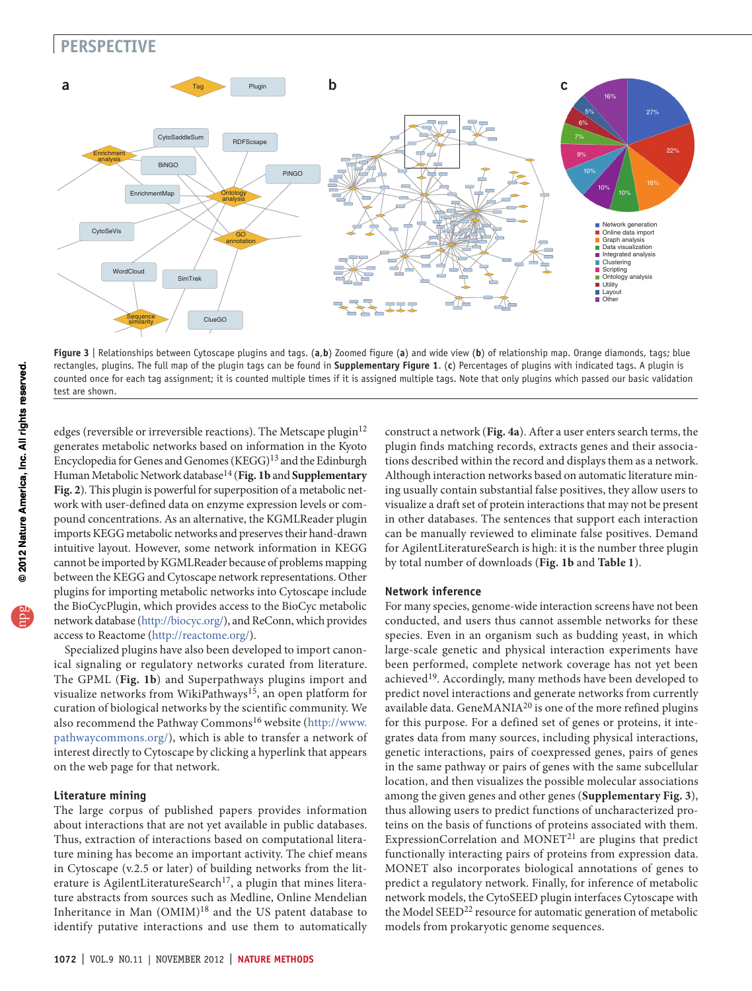

<span id="page-3-0"></span>**Figure 3** | Relationships between Cytoscape plugins and tags. (**a**,**b**) Zoomed figure (**a**) and wide view (**b**) of relationship map. Orange diamonds, tags; blue rectangles, plugins. The full map of the plugin tags can be found in **Supplementary Figure 1**. (**c**) Percentages of plugins with indicated tags. A plugin is counted once for each tag assignment; it is counted multiple times if it is assigned multiple tags. Note that only plugins which passed our basic validation test are shown.

edges (reversible or irreversible reactions). The Metscape plugin<sup>12</sup> generates metabolic networks based on information in the Kyoto Encyclopedia for Genes and Genomes (KEGG[\)13](#page-7-4) and the Edinburgh Human Metabolic Network database[14](#page-7-5) (**[Fig. 1b](#page-1-1)** and **Supplementary Fig. 2**). This plugin is powerful for superposition of a metabolic network with user-defined data on enzyme expression levels or compound concentrations. As an alternative, the KGMLReader plugin imports KEGG metabolic networks and preserves their hand-drawn intuitive layout. However, some network information in KEGG cannot be imported by KGMLReader because of problems mapping between the KEGG and Cytoscape network representations. Other plugins for importing metabolic networks into Cytoscape include the BioCycPlugin, which provides access to the BioCyc metabolic network database ([http://biocyc.org/\)](http://biocyc.org/), and ReConn, which provides access to Reactome [\(http://reactome.org/](http://reactome.org/)).

Specialized plugins have also been developed to import canonical signaling or regulatory networks curated from literature. The GPML (**[Fig. 1b](#page-1-1)**) and Superpathways plugins import and visualize networks from WikiPathways<sup>15</sup>, an open platform for curation of biological networks by the scientific community. We also recommend the Pathway Commons[16](#page-7-7) website [\(http://www.](http://www.pathwaycommons.org/) [pathwaycommons.org/](http://www.pathwaycommons.org/)), which is able to transfer a network of interest directly to Cytoscape by clicking a hyperlink that appears on the web page for that network.

### **Literature mining**

The large corpus of published papers provides information about interactions that are not yet available in public databases. Thus, extraction of interactions based on computational literature mining has become an important activity. The chief means in Cytoscape (v.2.5 or later) of building networks from the lit-erature is AgilentLiteratureSearch<sup>[17](#page-7-8)</sup>, a plugin that mines literature abstracts from sources such as Medline, Online Mendelian Inheritance in Man (OMIM)<sup>[18](#page-7-9)</sup> and the US patent database to identify putative interactions and use them to automatically construct a network (**[Fig. 4a](#page-4-0)**). After a user enters search terms, the plugin finds matching records, extracts genes and their associations described within the record and displays them as a network. Although interaction networks based on automatic literature mining usually contain substantial false positives, they allow users to visualize a draft set of protein interactions that may not be present in other databases. The sentences that support each interaction can be manually reviewed to eliminate false positives. Demand for AgilentLiteratureSearch is high: it is the number three plugin by total number of downloads (**[Fig. 1b](#page-1-1)** and **[Table 1](#page-2-0)**).

### **Network inference**

For many species, genome-wide interaction screens have not been conducted, and users thus cannot assemble networks for these species. Even in an organism such as budding yeast, in which large-scale genetic and physical interaction experiments have been performed, complete network coverage has not yet been achieved<sup>[19](#page-7-10)</sup>. Accordingly, many methods have been developed to predict novel interactions and generate networks from currently available data. GeneMANIA<sup>[20](#page-7-11)</sup> is one of the more refined plugins for this purpose. For a defined set of genes or proteins, it integrates data from many sources, including physical interactions, genetic interactions, pairs of coexpressed genes, pairs of genes in the same pathway or pairs of genes with the same subcellular location, and then visualizes the possible molecular associations among the given genes and other genes (**Supplementary Fig. 3**), thus allowing users to predict functions of uncharacterized proteins on the basis of functions of proteins associated with them. ExpressionCorrelation and MONET<sup>[21](#page-7-12)</sup> are plugins that predict functionally interacting pairs of proteins from expression data. MONET also incorporates biological annotations of genes to predict a regulatory network. Finally, for inference of metabolic network models, the CytoSEED plugin interfaces Cytoscape with the Model SEED<sup>22</sup> resource for automatic generation of metabolic models from prokaryotic genome sequences.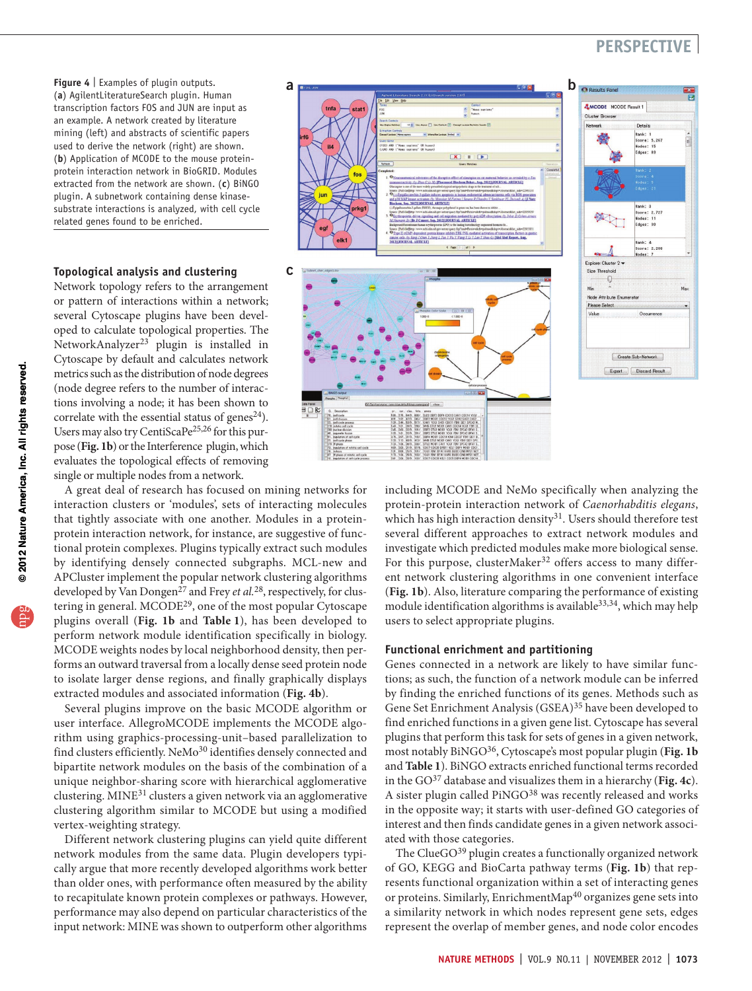<span id="page-4-0"></span>(**a**) AgilentLiteratureSearch plugin. Human transcription factors FOS and JUN are input as an example. A network created by literature mining (left) and abstracts of scientific papers used to derive the network (right) are shown. (**b**) Application of MCODE to the mouse proteinprotein interaction network in BioGRID. Modules extracted from the network are shown. (**c**) BiNGO plugin. A subnetwork containing dense kinasesubstrate interactions is analyzed, with cell cycle related genes found to be enriched.

#### **Topological analysis and clustering**

Network topology refers to the arrangement or pattern of interactions within a network; several Cytoscape plugins have been developed to calculate topological properties. The NetworkAnalyzer[23](#page-7-14) plugin is installed in Cytoscape by default and calculates network metrics such as the distribution of node degrees (node degree refers to the number of interactions involving a node; it has been shown to correlate with the essential status of genes $^{24}$ ). Users may also try CentiScaP[e25,](#page-7-16)[26](#page-7-17) for this purpose (**[Fig. 1b](#page-1-1)**) or the Interference plugin, which evaluates the topological effects of removing single or multiple nodes from a network.

A great deal of research has focused on mining networks for interaction clusters or 'modules', sets of interacting molecules that tightly associate with one another. Modules in a proteinprotein interaction network, for instance, are suggestive of functional protein complexes. Plugins typically extract such modules by identifying densely connected subgraphs. MCL-new and APCluster implement the popular network clustering algorithms developed by Van Dongen<sup>[27](#page-7-18)</sup> and Frey *et al.*<sup>28</sup>, respectively, for clustering in general. MCODE[29,](#page-7-20) one of the most popular Cytoscape plugins overall (**[Fig. 1b](#page-1-1)** and **[Table](#page-2-0) 1**), has been developed to perform network module identification specifically in biology. MCODE weights nodes by local neighborhood density, then performs an outward traversal from a locally dense seed protein node to isolate larger dense regions, and finally graphically displays extracted modules and associated information (**[Fig. 4b](#page-4-0)**).

Several plugins improve on the basic MCODE algorithm or user interface. AllegroMCODE implements the MCODE algorithm using graphics-processing-unit–based parallelization to find clusters efficiently. NeMo<sup>30</sup> identifies densely connected and bipartite network modules on the basis of the combination of a unique neighbor-sharing score with hierarchical agglomerative clustering. MINE[31](#page-7-22) clusters a given network via an agglomerative clustering algorithm similar to MCODE but using a modified vertex-weighting strategy.

Different network clustering plugins can yield quite different network modules from the same data. Plugin developers typically argue that more recently developed algorithms work better than older ones, with performance often measured by the ability to recapitulate known protein complexes or pathways. However, performance may also depend on particular characteristics of the input network: MINE was shown to outperform other algorithms



including MCODE and NeMo specifically when analyzing the protein-protein interaction network of *Caenorhabditis elegans*, which has high interaction density  $31$  . Users should therefore test several different approaches to extract network modules and investigate which predicted modules make more biological sense. For this purpose, clusterMaker<sup>32</sup> offers access to many different network clustering algorithms in one convenient interface (**[Fig. 1b](#page-1-1)**). Also, literature comparing the performance of existing module identification algorithms is available<sup>[33,](#page-7-24)34</sup>, which may help users to select appropriate plugins.

#### **Functional enrichment and partitioning**

Genes connected in a network are likely to have similar functions; as such, the function of a network module can be inferred by finding the enriched functions of its genes. Methods such as Gene Set Enrichment Analysis (GSEA)[35](#page-7-26) have been developed to find enriched functions in a given gene list. Cytoscape has several plugins that perform this task for sets of genes in a given network, most notably BiNGO[36,](#page-7-27) Cytoscape's most popular plugin (**[Fig. 1b](#page-1-1)** and **[Table 1](#page-2-0)**). BiNGO extracts enriched functional terms recorded in the GO[37](#page-7-28) database and visualizes them in a hierarchy (**[Fig. 4c](#page-4-0)**). A sister plugin called PiNGO<sup>38</sup> was recently released and works in the opposite way; it starts with user-defined GO categories of interest and then finds candidate genes in a given network associated with those categories.

The ClueGO<sup>[39](#page-7-30)</sup> plugin creates a functionally organized network of GO, KEGG and BioCarta pathway terms (**[Fig. 1b](#page-1-1)**) that represents functional organization within a set of interacting genes or proteins. Similarly, EnrichmentMap<sup>[40](#page-7-31)</sup> organizes gene sets into a similarity network in which nodes represent gene sets, edges represent the overlap of member genes, and node color encodes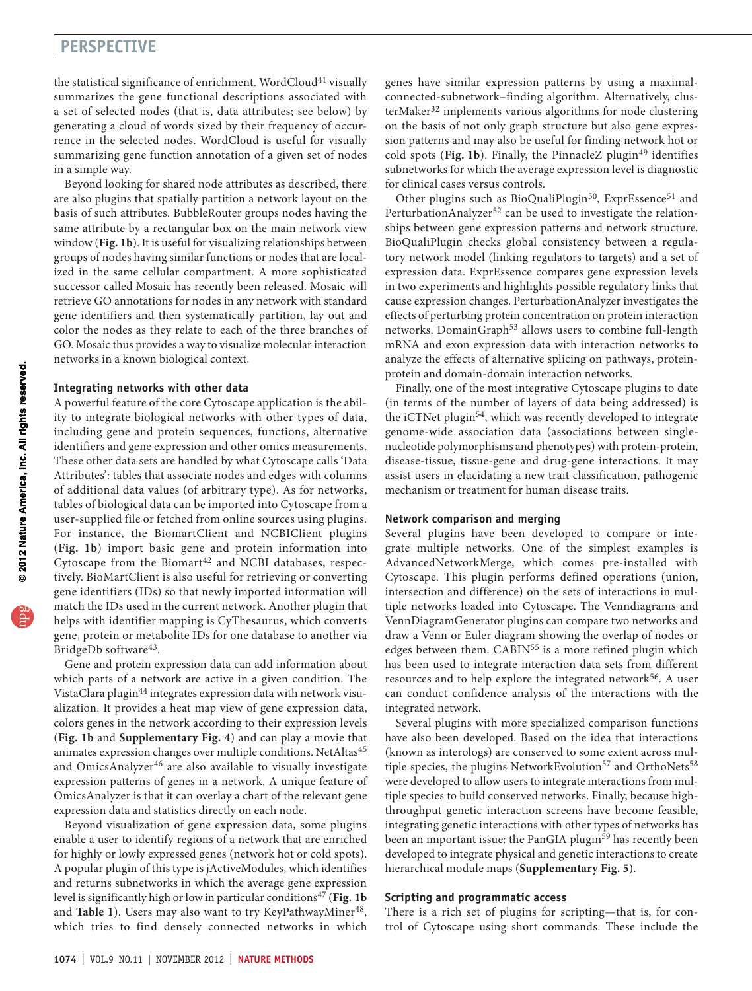the statistical significance of enrichment. WordCloud<sup>[41](#page-7-32)</sup> visually summarizes the gene functional descriptions associated with a set of selected nodes (that is, data attributes; see below) by generating a cloud of words sized by their frequency of occurrence in the selected nodes. WordCloud is useful for visually summarizing gene function annotation of a given set of nodes in a simple way.

Beyond looking for shared node attributes as described, there are also plugins that spatially partition a network layout on the basis of such attributes. BubbleRouter groups nodes having the same attribute by a rectangular box on the main network view window (**[Fig. 1b](#page-1-1)**). It is useful for visualizing relationships between groups of nodes having similar functions or nodes that are localized in the same cellular compartment. A more sophisticated successor called Mosaic has recently been released. Mosaic will retrieve GO annotations for nodes in any network with standard gene identifiers and then systematically partition, lay out and color the nodes as they relate to each of the three branches of GO. Mosaic thus provides a way to visualize molecular interaction networks in a known biological context.

#### **Integrating networks with other data**

A powerful feature of the core Cytoscape application is the ability to integrate biological networks with other types of data, including gene and protein sequences, functions, alternative identifiers and gene expression and other omics measurements. These other data sets are handled by what Cytoscape calls 'Data Attributes': tables that associate nodes and edges with columns of additional data values (of arbitrary type). As for networks, tables of biological data can be imported into Cytoscape from a user-supplied file or fetched from online sources using plugins. For instance, the BiomartClient and NCBIClient plugins (**[Fig. 1b](#page-1-1)**) import basic gene and protein information into Cytoscape from the Biomart $42$  and NCBI databases, respectively. BioMartClient is also useful for retrieving or converting gene identifiers (IDs) so that newly imported information will match the IDs used in the current network. Another plugin that helps with identifier mapping is CyThesaurus, which converts gene, protein or metabolite IDs for one database to another via BridgeDb software<sup>[43](#page-7-34)</sup>.

Gene and protein expression data can add information about which parts of a network are active in a given condition. The VistaClara plugin<sup>44</sup> integrates expression data with network visualization. It provides a heat map view of gene expression data, colors genes in the network according to their expression levels (**[Fig. 1b](#page-1-1)** and **Supplementary Fig. 4**) and can play a movie that animates expression changes over multiple conditions. NetAltas<sup>[45](#page-7-36)</sup> and OmicsAnalyzer[46](#page-7-37) are also available to visually investigate expression patterns of genes in a network. A unique feature of OmicsAnalyzer is that it can overlay a chart of the relevant gene expression data and statistics directly on each node.

Beyond visualization of gene expression data, some plugins enable a user to identify regions of a network that are enriched for highly or lowly expressed genes (network hot or cold spots). A popular plugin of this type is jActiveModules, which identifies and returns subnetworks in which the average gene expression level is significantly high or low in particular conditions[47](#page-7-38) (**[Fig.](#page-1-1) 1b** and [Table 1](#page-2-0)). Users may also want to try KeyPathwayMiner<sup>48</sup>, which tries to find densely connected networks in which genes have similar expression patterns by using a maximalconnected-subnetwork–finding algorithm. Alternatively, clus-terMaker<sup>[32](#page-7-23)</sup> implements various algorithms for node clustering on the basis of not only graph structure but also gene expression patterns and may also be useful for finding network hot or cold spots ([Fig.](#page-1-1) 1b). Finally, the PinnacleZ plugin<sup>49</sup> identifies subnetworks for which the average expression level is diagnostic for clinical cases versus controls.

Other plugins such as BioQualiPlugin<sup>50</sup>, ExprEssence<sup>51</sup> and PerturbationAnalyzer<sup>[52](#page-7-43)</sup> can be used to investigate the relationships between gene expression patterns and network structure. BioQualiPlugin checks global consistency between a regulatory network model (linking regulators to targets) and a set of expression data. ExprEssence compares gene expression levels in two experiments and highlights possible regulatory links that cause expression changes. PerturbationAnalyzer investigates the effects of perturbing protein concentration on protein interaction networks. DomainGraph<sup>[53](#page-7-44)</sup> allows users to combine full-length mRNA and exon expression data with interaction networks to analyze the effects of alternative splicing on pathways, proteinprotein and domain-domain interaction networks.

Finally, one of the most integrative Cytoscape plugins to date (in terms of the number of layers of data being addressed) is the iCTNet plugin<sup>54</sup>, which was recently developed to integrate genome-wide association data (associations between singlenucleotide polymorphisms and phenotypes) with protein-protein, disease-tissue, tissue-gene and drug-gene interactions. It may assist users in elucidating a new trait classification, pathogenic mechanism or treatment for human disease traits.

#### **Network comparison and merging**

Several plugins have been developed to compare or integrate multiple networks. One of the simplest examples is AdvancedNetworkMerge, which comes pre-installed with Cytoscape. This plugin performs defined operations (union, intersection and difference) on the sets of interactions in multiple networks loaded into Cytoscape. The Venndiagrams and VennDiagramGenerator plugins can compare two networks and draw a Venn or Euler diagram showing the overlap of nodes or edges between them.  $CABIN<sup>55</sup>$  $CABIN<sup>55</sup>$  $CABIN<sup>55</sup>$  is a more refined plugin which has been used to integrate interaction data sets from different resources and to help explore the integrated network<sup>[56](#page-7-47)</sup>. A user can conduct confidence analysis of the interactions with the integrated network.

Several plugins with more specialized comparison functions have also been developed. Based on the idea that interactions (known as interologs) are conserved to some extent across mul-tiple species, the plugins NetworkEvolution<sup>57</sup> and OrthoNets<sup>[58](#page-7-49)</sup> were developed to allow users to integrate interactions from multiple species to build conserved networks. Finally, because highthroughput genetic interaction screens have become feasible, integrating genetic interactions with other types of networks has been an important issue: the PanGIA plugin<sup>[59](#page-7-0)</sup> has recently been developed to integrate physical and genetic interactions to create hierarchical module maps (**Supplementary Fig. 5**).

### **Scripting and programmatic access**

There is a rich set of plugins for scripting—that is, for control of Cytoscape using short commands. These include the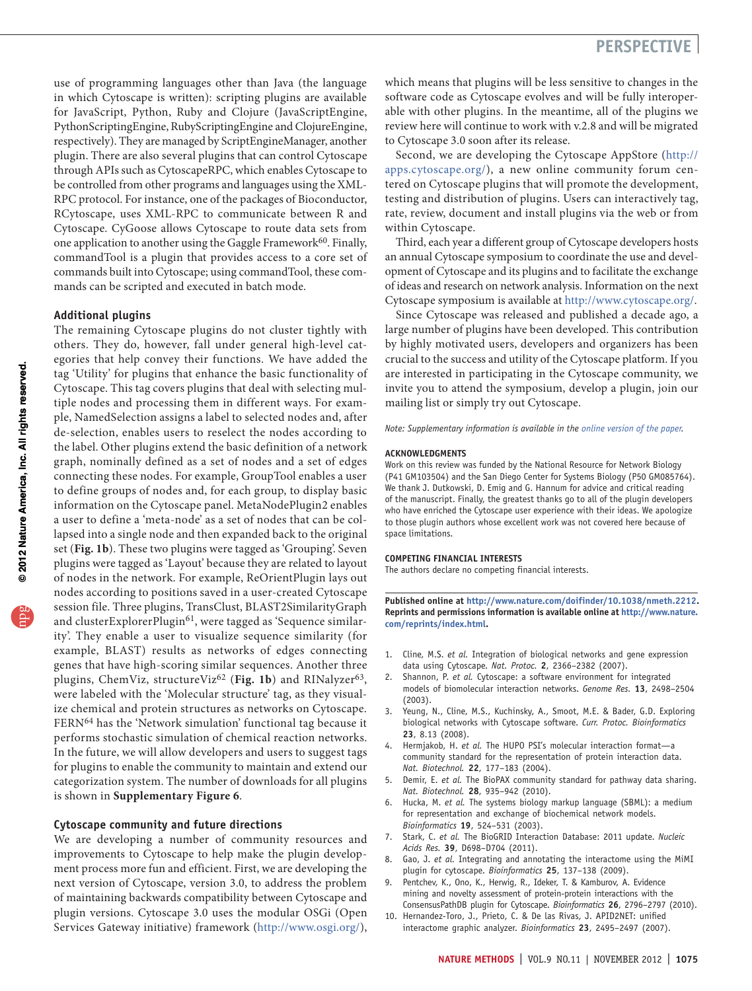use of programming languages other than Java (the language in which Cytoscape is written): scripting plugins are available for JavaScript, Python, Ruby and Clojure (JavaScriptEngine, PythonScriptingEngine, RubyScriptingEngine and ClojureEngine, respectively). They are managed by ScriptEngineManager, another plugin. There are also several plugins that can control Cytoscape through APIs such as CytoscapeRPC, which enables Cytoscape to be controlled from other programs and languages using the XML-RPC protocol. For instance, one of the packages of Bioconductor, RCytoscape, uses XML-RPC to communicate between R and Cytoscape. CyGoose allows Cytoscape to route data sets from one application to another using the Gaggle Framework<sup>[60](#page-7-50)</sup>. Finally, commandTool is a plugin that provides access to a core set of commands built into Cytoscape; using commandTool, these commands can be scripted and executed in batch mode.

#### **Additional plugins**

The remaining Cytoscape plugins do not cluster tightly with others. They do, however, fall under general high-level categories that help convey their functions. We have added the tag 'Utility' for plugins that enhance the basic functionality of Cytoscape. This tag covers plugins that deal with selecting multiple nodes and processing them in different ways. For example, NamedSelection assigns a label to selected nodes and, after de-selection, enables users to reselect the nodes according to the label. Other plugins extend the basic definition of a network graph, nominally defined as a set of nodes and a set of edges connecting these nodes. For example, GroupTool enables a user to define groups of nodes and, for each group, to display basic information on the Cytoscape panel. MetaNodePlugin2 enables a user to define a 'meta-node' as a set of nodes that can be collapsed into a single node and then expanded back to the original set (**[Fig. 1b](#page-1-1)**). These two plugins were tagged as 'Grouping'. Seven plugins were tagged as 'Layout' because they are related to layout of nodes in the network. For example, ReOrientPlugin lays out nodes according to positions saved in a user-created Cytoscape session file. Three plugins, TransClust, BLAST2SimilarityGraph and clusterExplorerPlugin<sup>61</sup>, were tagged as 'Sequence similarity'. They enable a user to visualize sequence similarity (for example, BLAST) results as networks of edges connecting genes that have high-scoring similar sequences. Another three plugins, ChemViz, structureViz<sup>62</sup> ([Fig. 1b](#page-1-1)) and RINalyzer<sup>63</sup>, were labeled with the 'Molecular structure' tag, as they visualize chemical and protein structures as networks on Cytoscape. FERN<sup>64</sup> has the 'Network simulation' functional tag because it performs stochastic simulation of chemical reaction networks. In the future, we will allow developers and users to suggest tags for plugins to enable the community to maintain and extend our categorization system. The number of downloads for all plugins is shown in **Supplementary Figure 6**.

### **Cytoscape community and future directions**

We are developing a number of community resources and improvements to Cytoscape to help make the plugin development process more fun and efficient. First, we are developing the next version of Cytoscape, version 3.0, to address the problem of maintaining backwards compatibility between Cytoscape and plugin versions. Cytoscape 3.0 uses the modular OSGi (Open Services Gateway initiative) framework [\(http://www.osgi.org/](http://www.osgi.org/)),

which means that plugins will be less sensitive to changes in the software code as Cytoscape evolves and will be fully interoperable with other plugins. In the meantime, all of the plugins we review here will continue to work with v.2.8 and will be migrated to Cytoscape 3.0 soon after its release.

Second, we are developing the Cytoscape AppStore ([http://](http://apps.cytoscape.org/) [apps.cytoscape.org/\)](http://apps.cytoscape.org/), a new online community forum centered on Cytoscape plugins that will promote the development, testing and distribution of plugins. Users can interactively tag, rate, review, document and install plugins via the web or from within Cytoscape.

Third, each year a different group of Cytoscape developers hosts an annual Cytoscape symposium to coordinate the use and development of Cytoscape and its plugins and to facilitate the exchange of ideas and research on network analysis. Information on the next Cytoscape symposium is available at<http://www.cytoscape.org/>.

Since Cytoscape was released and published a decade ago, a large number of plugins have been developed. This contribution by highly motivated users, developers and organizers has been crucial to the success and utility of the Cytoscape platform. If you are interested in participating in the Cytoscape community, we invite you to attend the symposium, develop a plugin, join our mailing list or simply try out Cytoscape.

*Note: Supplementary information is available in the online [version](http://www.nature.com/doifinder/10.1038/nmeth.2212) of the paper.*

#### **Acknowledgments**

Work on this review was funded by the National Resource for Network Biology (P41 GM103504) and the San Diego Center for Systems Biology (P50 GM085764). We thank J. Dutkowski, D. Emig and G. Hannum for advice and critical reading of the manuscript. Finally, the greatest thanks go to all of the plugin developers who have enriched the Cytoscape user experience with their ideas. We apologize to those plugin authors whose excellent work was not covered here because of space limitations.

#### **COMPETING FINANCIAL INTERESTS**

The authors declare no competing financial interests.

**Published online at <http://www.nature.com/doifinder/10.1038/nmeth.2212>. Reprints and permissions information is available online at [http://www.nature.](http://www.nature.com/reprints/index.html) [com/reprints/index.html.](http://www.nature.com/reprints/index.html)**

- <span id="page-6-0"></span>1. Cline, M.S. *et al.* Integration of biological networks and gene expression data using Cytoscape. *Nat. Protoc.* **2**, 2366–2382 (2007).
- <span id="page-6-1"></span>2. Shannon, P. *et al.* Cytoscape: a software environment for integrated models of biomolecular interaction networks. *Genome Res.* **13**, 2498–2504 (2003).
- <span id="page-6-2"></span>3. Yeung, N., Cline, M.S., Kuchinsky, A., Smoot, M.E. & Bader, G.D. Exploring biological networks with Cytoscape software. *Curr. Protoc. Bioinformatics* **23**, 8.13 (2008).
- <span id="page-6-3"></span>4. Hermjakob, H. *et al.* The HUPO PSI's molecular interaction format—a community standard for the representation of protein interaction data. *Nat. Biotechnol.* **22**, 177–183 (2004).
- <span id="page-6-4"></span>5. Demir, E. *et al.* The BioPAX community standard for pathway data sharing. *Nat. Biotechnol.* **28**, 935–942 (2010).
- <span id="page-6-5"></span>6. Hucka, M. *et al.* The systems biology markup language (SBML): a medium for representation and exchange of biochemical network models. *Bioinformatics* **19**, 524–531 (2003).
- <span id="page-6-6"></span>7. Stark, C. *et al.* The BioGRID Interaction Database: 2011 update. *Nucleic Acids Res.* **39**, D698–D704 (2011).
- <span id="page-6-7"></span>8. Gao, J. *et al.* Integrating and annotating the interactome using the MiMI plugin for cytoscape. *Bioinformatics* **25**, 137–138 (2009).
- <span id="page-6-8"></span>9. Pentchev, K., Ono, K., Herwig, R., Ideker, T. & Kamburov, A. Evidence mining and novelty assessment of protein-protein interactions with the ConsensusPathDB plugin for Cytoscape. *Bioinformatics* **26**, 2796–2797 (2010).
- <span id="page-6-9"></span>10. Hernandez-Toro, J., Prieto, C. & De las Rivas, J. APID2NET: unified interactome graphic analyzer. *Bioinformatics* **23**, 2495–2497 (2007).